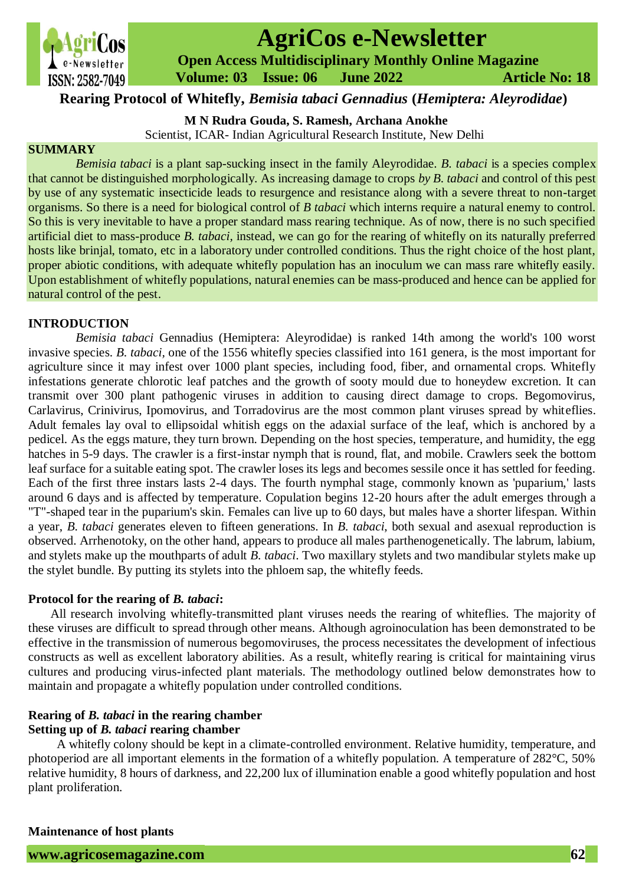

# **AgriCos e-Newsletter**

 **Open Access Multidisciplinary Monthly Online Magazine**

 **Volume: 03 Issue: 06 June 2022 Article No: 18**

**Rearing Protocol of Whitefly,** *Bemisia tabaci Gennadius* **(***Hemiptera: Aleyrodidae***)**

**M N Rudra Gouda, S. Ramesh, Archana Anokhe**

Scientist, ICAR- Indian Agricultural Research Institute, New Delhi

## **SUMMARY**

*Bemisia tabaci* is a plant sap-sucking insect in the family Aleyrodidae. *B. tabaci* is a species complex that cannot be distinguished morphologically. As increasing damage to crops *by B. tabaci* and control of this pest by use of any systematic insecticide leads to resurgence and resistance along with a severe threat to non-target organisms. So there is a need for biological control of *B tabaci* which interns require a natural enemy to control. So this is very inevitable to have a proper standard mass rearing technique. As of now, there is no such specified artificial diet to mass-produce *B. tabaci,* instead, we can go for the rearing of whitefly on its naturally preferred hosts like brinjal, tomato, etc in a laboratory under controlled conditions. Thus the right choice of the host plant, proper abiotic conditions, with adequate whitefly population has an inoculum we can mass rare whitefly easily. Upon establishment of whitefly populations, natural enemies can be mass-produced and hence can be applied for natural control of the pest.

## **INTRODUCTION**

*Bemisia tabaci* Gennadius (Hemiptera: Aleyrodidae) is ranked 14th among the world's 100 worst invasive species. *B. tabaci,* one of the 1556 whitefly species classified into 161 genera, is the most important for agriculture since it may infest over 1000 plant species, including food, fiber, and ornamental crops. Whitefly infestations generate chlorotic leaf patches and the growth of sooty mould due to honeydew excretion. It can transmit over 300 plant pathogenic viruses in addition to causing direct damage to crops. Begomovirus, Carlavirus, Crinivirus, Ipomovirus, and Torradovirus are the most common plant viruses spread by whiteflies. Adult females lay oval to ellipsoidal whitish eggs on the adaxial surface of the leaf, which is anchored by a pedicel. As the eggs mature, they turn brown. Depending on the host species, temperature, and humidity, the egg hatches in 5-9 days. The crawler is a first-instar nymph that is round, flat, and mobile. Crawlers seek the bottom leaf surface for a suitable eating spot. The crawler loses its legs and becomes sessile once it has settled for feeding. Each of the first three instars lasts 2-4 days. The fourth nymphal stage, commonly known as 'puparium,' lasts around 6 days and is affected by temperature. Copulation begins 12-20 hours after the adult emerges through a "T"-shaped tear in the puparium's skin. Females can live up to 60 days, but males have a shorter lifespan. Within a year, *B. tabaci* generates eleven to fifteen generations. In *B. tabaci*, both sexual and asexual reproduction is observed. Arrhenotoky, on the other hand, appears to produce all males parthenogenetically. The labrum, labium, and stylets make up the mouthparts of adult *B. tabaci*. Two maxillary stylets and two mandibular stylets make up the stylet bundle. By putting its stylets into the phloem sap, the whitefly feeds.

## **Protocol for the rearing of** *B. tabaci***:**

 All research involving whitefly-transmitted plant viruses needs the rearing of whiteflies. The majority of these viruses are difficult to spread through other means. Although agroinoculation has been demonstrated to be effective in the transmission of numerous begomoviruses, the process necessitates the development of infectious constructs as well as excellent laboratory abilities. As a result, whitefly rearing is critical for maintaining virus cultures and producing virus-infected plant materials. The methodology outlined below demonstrates how to maintain and propagate a whitefly population under controlled conditions.

## **Rearing of** *B. tabaci* **in the rearing chamber**

## **Setting up of** *B. tabaci* **rearing chamber**

 A whitefly colony should be kept in a climate-controlled environment. Relative humidity, temperature, and photoperiod are all important elements in the formation of a whitefly population. A temperature of 282°C, 50% relative humidity, 8 hours of darkness, and 22,200 lux of illumination enable a good whitefly population and host plant proliferation.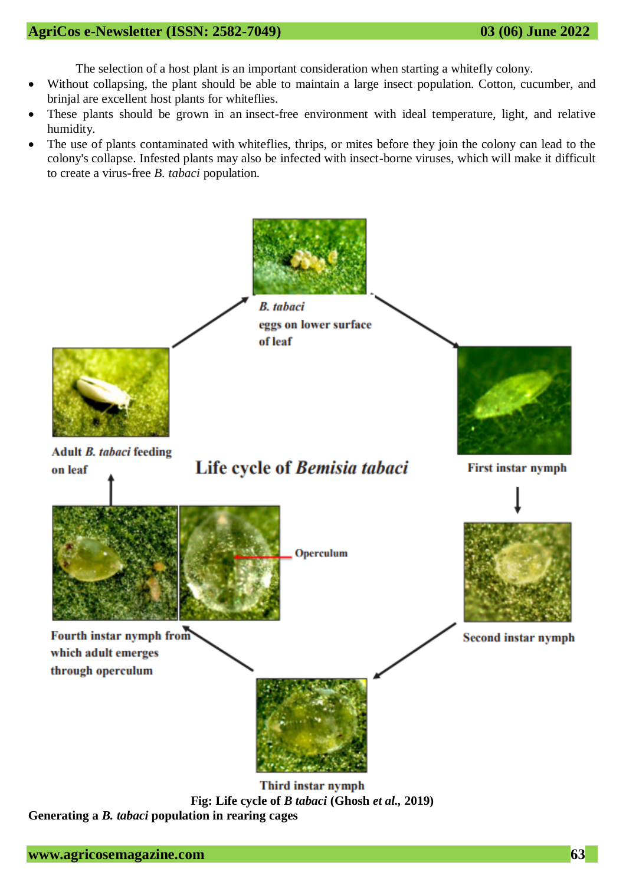The selection of a host plant is an important consideration when starting a whitefly colony.

- Without collapsing, the plant should be able to maintain a large insect population. Cotton, cucumber, and brinjal are excellent host plants for whiteflies.
- These plants should be grown in an insect-free environment with ideal temperature, light, and relative humidity.
- The use of plants contaminated with whiteflies, thrips, or mites before they join the colony can lead to the colony's collapse. Infested plants may also be infected with insect-borne viruses, which will make it difficult to create a virus-free *B. tabaci* population.



**Fig: Life cycle of** *B tabaci* **(Ghosh** *et al.,* **2019) Generating a** *B. tabaci* **population in rearing cages**